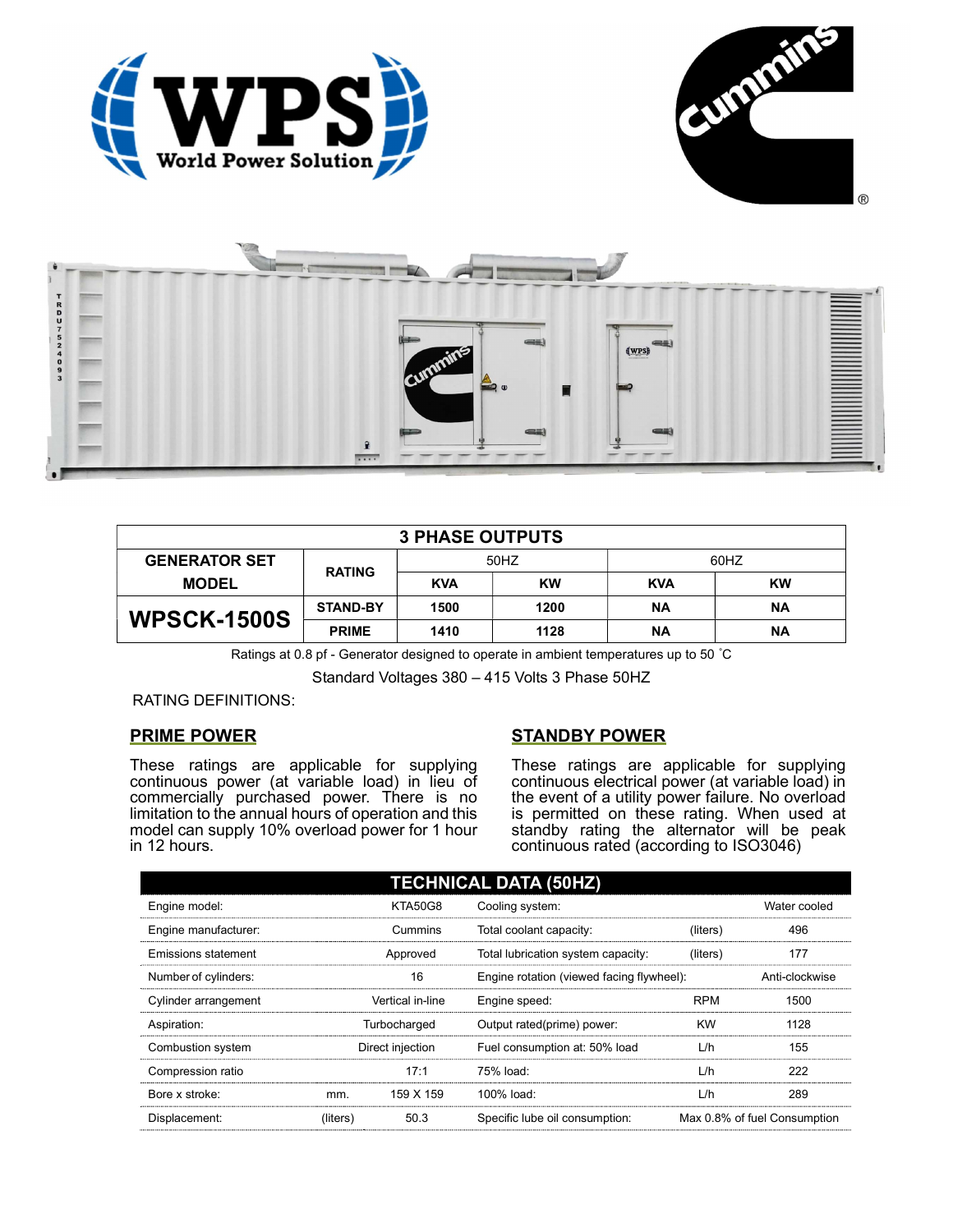





| <b>3 PHASE OUTPUTS</b> |                 |            |      |            |           |  |  |
|------------------------|-----------------|------------|------|------------|-----------|--|--|
| <b>GENERATOR SET</b>   | <b>RATING</b>   | 50HZ       |      | 60HZ       |           |  |  |
| <b>MODEL</b>           |                 | <b>KVA</b> | KW   | <b>KVA</b> | <b>KW</b> |  |  |
| <b>WPSCK-1500S</b>     | <b>STAND-BY</b> | 1500       | 1200 | ΝA         | <b>NA</b> |  |  |
|                        | <b>PRIME</b>    | 1410       | 1128 | ΝA         | <b>NA</b> |  |  |

Ratings at 0.8 pf - Generator designed to operate in ambient temperatures up to 50 °C

Standard Voltages 380 – 415 Volts 3 Phase 50HZ

RATING DEFINITIONS:

## PRIME POWER

These ratings are applicable for supplying continuous power (at variable load) in lieu of commercially purchased power. There is no limitation to the annual hours of operation and this model can supply 10% overload power for 1 hour in 12 hours.

## STANDBY POWER

These ratings are applicable for supplying continuous electrical power (at variable load) in the event of a utility power failure. No overload is permitted on these rating. When used at standby rating the alternator will be peak continuous rated (according to ISO3046)

| <b>TECHNICAL DATA (50HZ)</b> |                  |                |                                           |            |                              |  |
|------------------------------|------------------|----------------|-------------------------------------------|------------|------------------------------|--|
| Engine model:                |                  | <b>KTA50G8</b> | Cooling system:                           |            | Water cooled                 |  |
| Engine manufacturer:         |                  | Cummins        | Total coolant capacity:                   | (liters)   | 496                          |  |
| Emissions statement          | Approved         |                | Total lubrication system capacity:        | (liters)   | 177                          |  |
| Number of cylinders:         | 16               |                | Engine rotation (viewed facing flywheel): |            | Anti-clockwise               |  |
| Cylinder arrangement         | Vertical in-line |                | Engine speed:                             | <b>RPM</b> | 1500                         |  |
| Aspiration:                  | Turbocharged     |                | Output rated(prime) power:                | <b>KW</b>  | 1128                         |  |
| Combustion system            | Direct injection |                | Fuel consumption at: 50% load             | L/h        | 155                          |  |
| Compression ratio            |                  | 17:1           | 75% load:                                 | L/h        | 222                          |  |
| Bore x stroke:               | mm.              | 159 X 159      | 100% load:                                | L/h        | 289                          |  |
| Displacement:                | (liters)         | 50.3           | Specific lube oil consumption:            |            | Max 0.8% of fuel Consumption |  |